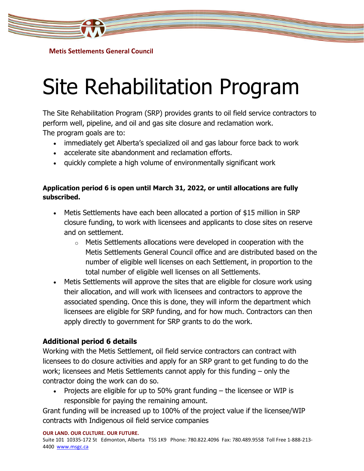

**Metis Settlements General Council**

## Site Rehabilitation Program

The Site Rehabilitation Program (SRP) provides grants to oil field service contractors to perform well, pipeline, and oil and gas site closure and reclamation work. The program goals are to:

- immediately get Alberta's specialized oil and gas labour force back to work
- accelerate site abandonment and reclamation efforts.
- quickly complete a high volume of environmentally significant work

## **Application period 6 is open until March 31, 2022, or until allocations are fully subscribed.**

- Metis Settlements have each been allocated a portion of \$15 million in SRP closure funding, to work with licensees and applicants to close sites on reserve and on settlement.
	- $\circ$  Metis Settlements allocations were developed in cooperation with the Metis Settlements General Council office and are distributed based on the number of eligible well licenses on each Settlement, in proportion to the total number of eligible well licenses on all Settlements.
- Metis Settlements will approve the sites that are eligible for closure work using their allocation, and will work with licensees and contractors to approve the associated spending. Once this is done, they will inform the department which licensees are eligible for SRP funding, and for how much. Contractors can then apply directly to government for SRP grants to do the work.

## **Additional period 6 details**

Working with the Metis Settlement, oil field service contractors can contract with licensees to do closure activities and apply for an SRP grant to get funding to do the work; licensees and Metis Settlements cannot apply for this funding – only the contractor doing the work can do so.

• Projects are eligible for up to 50% grant funding – the licensee or WIP is responsible for paying the remaining amount.

Grant funding will be increased up to 100% of the project value if the licensee/WIP contracts with Indigenous oil field service companies

**OUR LAND. OUR CULTURE. OUR FUTURE.**

Suite 101 10335-172 St Edmonton, Alberta T5S 1K9 Phone: 780.822.4096 Fax: 780.489.9558 Toll Free 1-888-213 4400 [www.msgc.ca](http://www.msgc.ca/)